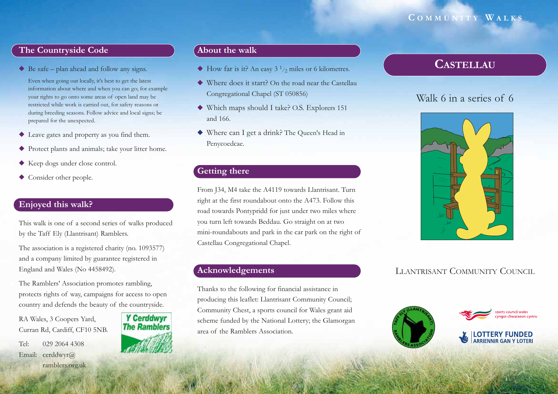## **C OMMUNITY W ALKS**

## **The Countryside Code**

◆ Be safe – plan ahead and follow any signs.

Even when going out locally, it's best to get the latest information about where and when you can go; for example your rights to go onto some areas of open land may be restricted while work is carried out, for safety reasons or during breeding seasons. Follow advice and local signs; be prepared for the unexpected.

- ◆ Leave gates and property as you find them.
- ◆ Protect plants and animals; take your litter home.
- ◆ Keep dogs under close control.
- ◆ Consider other people.

## **Enjoyed this walk?**

This walk is one of a second series of walks produced by the Taff Ely (Llantrisant) Ramblers.

The association is a registered charity (no. 1093577) and a company limited by guarantee registered in England and Wales (No 4458492).

The Ramblers' Association promotes rambling, protects rights of way, campaigns for access to open country and defends the beauty of the countryside.

RA Wales, 3 Coopers Yard, Curran Rd, Cardiff, CF10 5NB.

Tel: 029 2064 4308Email: cerddwyr@ ramblers.org.uk



#### **About the walk**

- $\blacklozenge$  How far is it? An easy 3  $\frac{1}{2}$  miles or 6 kilometres.
- ◆ Where does it start? On the road near the Castellau Congregational Chapel (ST 050856)
- ◆ Which maps should I take? O.S. Explorers 151 and 166.
- ◆ Where can I get a drink? The Queen's Head in Penycoedcae.

## **Getting there**

From J34, M4 take the A4119 towards Llantrisant. Turn right at the first roundabout onto the A473. Follow this road towards Pontypridd for just under two miles where you turn left towards Beddau. Go straight on at two mini-roundabouts and park in the car park on the right of Castellau Congregational Chapel.

## **Acknowledgements**

Thanks to the following for financial assistance in producing this leaflet: Llantrisant Community Council; Community Chest, a sports council for Wales grant aid scheme funded by the National Lottery; the Glamorgan area of the Ramblers Association.

# **CASTELLAU**

# Walk 6 in a series of 6



# LLANTRISANT COMMUNITY COUNCIL